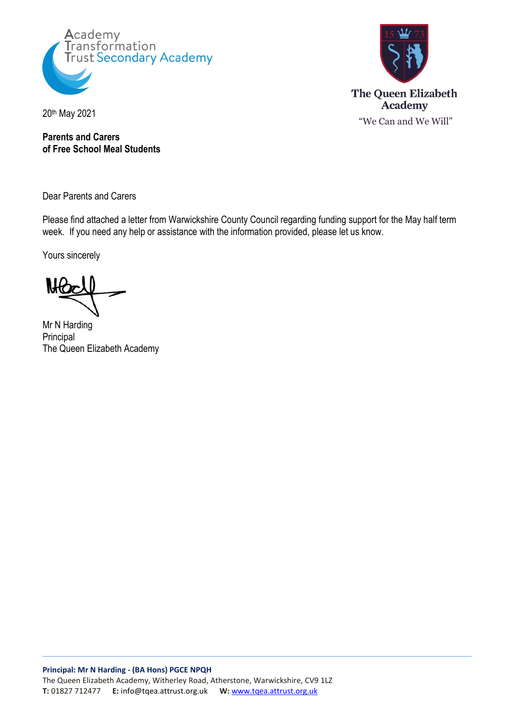



20th May 2021

**Parents and Carers of Free School Meal Students**

Dear Parents and Carers

Please find attached a letter from Warwickshire County Council regarding funding support for the May half term week. If you need any help or assistance with the information provided, please let us know.

Yours sincerely

Mr N Harding Principal The Queen Elizabeth Academy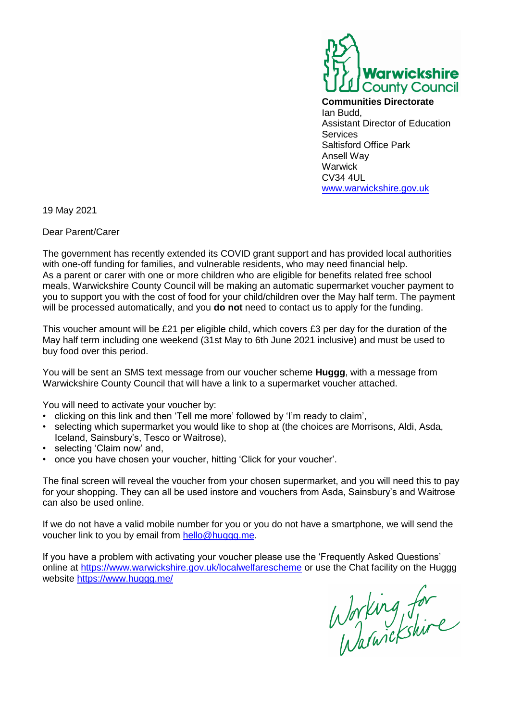

**Communities Directorate**  Ian Budd, Assistant Director of Education **Services** Saltisford Office Park Ansell Way Warwick CV34 4UL [www.warwickshire.gov.uk](http://www.warwickshire.gov.uk/)

19 May 2021

Dear Parent/Carer

The government has recently extended its COVID grant support and has provided local authorities with one-off funding for families, and vulnerable residents, who may need financial help. As a parent or carer with one or more children who are eligible for benefits related free school meals, Warwickshire County Council will be making an automatic supermarket voucher payment to you to support you with the cost of food for your child/children over the May half term. The payment will be processed automatically, and you **do not** need to contact us to apply for the funding.

This voucher amount will be £21 per eligible child, which covers £3 per day for the duration of the May half term including one weekend (31st May to 6th June 2021 inclusive) and must be used to buy food over this period.

You will be sent an SMS text message from our voucher scheme **Huggg**, with a message from Warwickshire County Council that will have a link to a supermarket voucher attached.

You will need to activate your voucher by:

- clicking on this link and then 'Tell me more' followed by 'I'm ready to claim',
- selecting which supermarket you would like to shop at (the choices are Morrisons, Aldi, Asda, Iceland, Sainsbury's, Tesco or Waitrose),
- selecting 'Claim now' and,
- once you have chosen your voucher, hitting 'Click for your voucher'.

The final screen will reveal the voucher from your chosen supermarket, and you will need this to pay for your shopping. They can all be used instore and vouchers from Asda, Sainsbury's and Waitrose can also be used online.

If we do not have a valid mobile number for you or you do not have a smartphone, we will send the voucher link to you by email from [hello@huggg.me.](mailto:hello@huggg.me)

If you have a problem with activating your voucher please use the 'Frequently Asked Questions' online at<https://www.warwickshire.gov.uk/localwelfarescheme> or use the Chat facility on the Huggg website<https://www.huggg.me/>

Working for